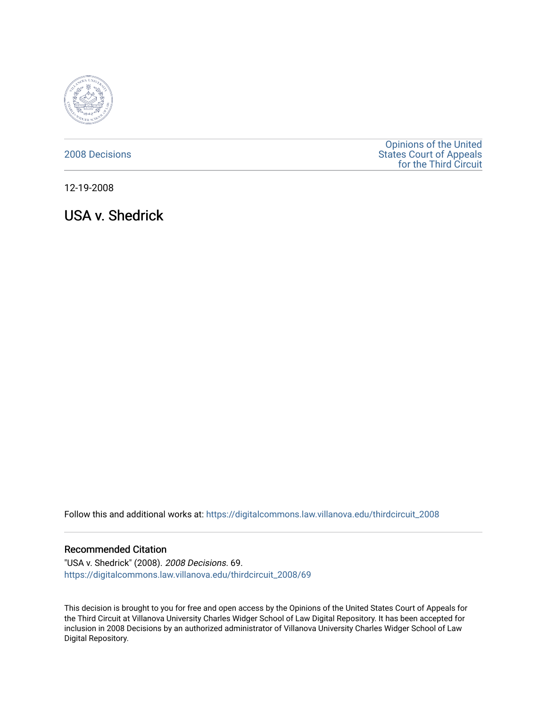

[2008 Decisions](https://digitalcommons.law.villanova.edu/thirdcircuit_2008)

[Opinions of the United](https://digitalcommons.law.villanova.edu/thirdcircuit)  [States Court of Appeals](https://digitalcommons.law.villanova.edu/thirdcircuit)  [for the Third Circuit](https://digitalcommons.law.villanova.edu/thirdcircuit) 

12-19-2008

USA v. Shedrick

Follow this and additional works at: [https://digitalcommons.law.villanova.edu/thirdcircuit\\_2008](https://digitalcommons.law.villanova.edu/thirdcircuit_2008?utm_source=digitalcommons.law.villanova.edu%2Fthirdcircuit_2008%2F69&utm_medium=PDF&utm_campaign=PDFCoverPages) 

### Recommended Citation

"USA v. Shedrick" (2008). 2008 Decisions. 69. [https://digitalcommons.law.villanova.edu/thirdcircuit\\_2008/69](https://digitalcommons.law.villanova.edu/thirdcircuit_2008/69?utm_source=digitalcommons.law.villanova.edu%2Fthirdcircuit_2008%2F69&utm_medium=PDF&utm_campaign=PDFCoverPages)

This decision is brought to you for free and open access by the Opinions of the United States Court of Appeals for the Third Circuit at Villanova University Charles Widger School of Law Digital Repository. It has been accepted for inclusion in 2008 Decisions by an authorized administrator of Villanova University Charles Widger School of Law Digital Repository.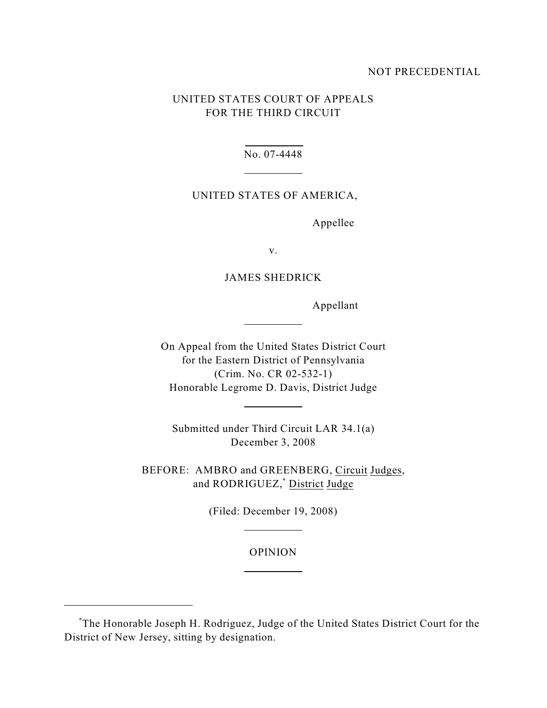### NOT PRECEDENTIAL

# UNITED STATES COURT OF APPEALS FOR THE THIRD CIRCUIT

No. 07-4448

 $\overline{a}$ 

 $\overline{a}$ 

 $\overline{a}$ 

 $\overline{a}$ 

 $\overline{a}$ 

### UNITED STATES OF AMERICA,

Appellee

v.

## JAMES SHEDRICK

Appellant

On Appeal from the United States District Court for the Eastern District of Pennsylvania (Crim. No. CR 02-532-1) Honorable Legrome D. Davis, District Judge

Submitted under Third Circuit LAR 34.1(a) December 3, 2008

BEFORE: AMBRO and GREENBERG, Circuit Judges, and RODRIGUEZ,<sup>\*</sup> District Judge

(Filed: December 19, 2008)

### OPINION

The Honorable Joseph H. Rodriguez, Judge of the United States District Court for the \* District of New Jersey, sitting by designation.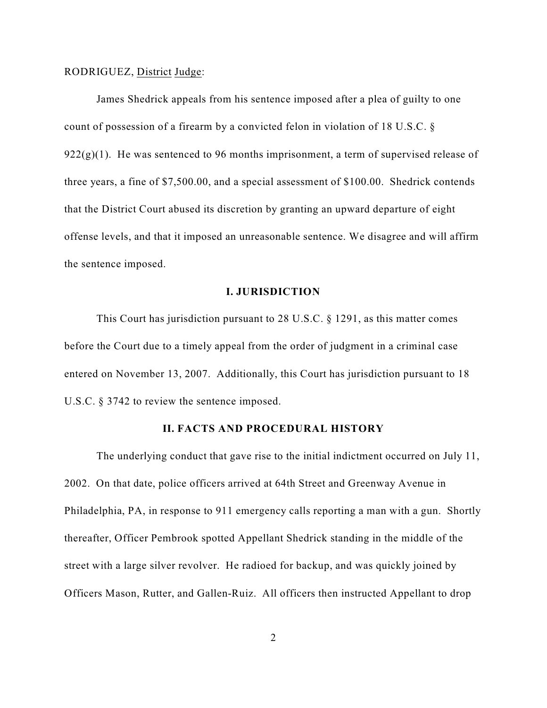### RODRIGUEZ, District Judge:

James Shedrick appeals from his sentence imposed after a plea of guilty to one count of possession of a firearm by a convicted felon in violation of 18 U.S.C. §  $922(g)(1)$ . He was sentenced to 96 months imprisonment, a term of supervised release of three years, a fine of \$7,500.00, and a special assessment of \$100.00. Shedrick contends that the District Court abused its discretion by granting an upward departure of eight offense levels, and that it imposed an unreasonable sentence. We disagree and will affirm the sentence imposed.

### **I. JURISDICTION**

This Court has jurisdiction pursuant to 28 U.S.C. § 1291, as this matter comes before the Court due to a timely appeal from the order of judgment in a criminal case entered on November 13, 2007. Additionally, this Court has jurisdiction pursuant to 18 U.S.C. § 3742 to review the sentence imposed.

## **II. FACTS AND PROCEDURAL HISTORY**

The underlying conduct that gave rise to the initial indictment occurred on July 11, 2002. On that date, police officers arrived at 64th Street and Greenway Avenue in Philadelphia, PA, in response to 911 emergency calls reporting a man with a gun. Shortly thereafter, Officer Pembrook spotted Appellant Shedrick standing in the middle of the street with a large silver revolver. He radioed for backup, and was quickly joined by Officers Mason, Rutter, and Gallen-Ruiz. All officers then instructed Appellant to drop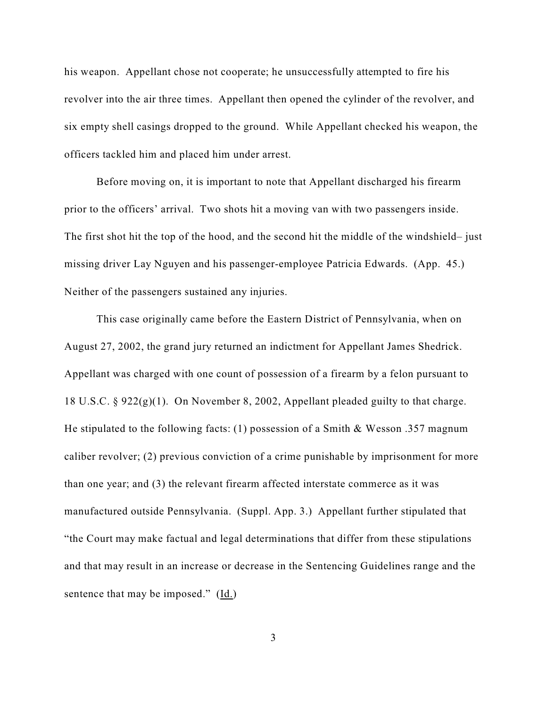his weapon. Appellant chose not cooperate; he unsuccessfully attempted to fire his revolver into the air three times. Appellant then opened the cylinder of the revolver, and six empty shell casings dropped to the ground. While Appellant checked his weapon, the officers tackled him and placed him under arrest.

Before moving on, it is important to note that Appellant discharged his firearm prior to the officers' arrival. Two shots hit a moving van with two passengers inside. The first shot hit the top of the hood, and the second hit the middle of the windshield– just missing driver Lay Nguyen and his passenger-employee Patricia Edwards. (App. 45.) Neither of the passengers sustained any injuries.

This case originally came before the Eastern District of Pennsylvania, when on August 27, 2002, the grand jury returned an indictment for Appellant James Shedrick. Appellant was charged with one count of possession of a firearm by a felon pursuant to 18 U.S.C. § 922(g)(1). On November 8, 2002, Appellant pleaded guilty to that charge. He stipulated to the following facts: (1) possession of a Smith & Wesson .357 magnum caliber revolver; (2) previous conviction of a crime punishable by imprisonment for more than one year; and (3) the relevant firearm affected interstate commerce as it was manufactured outside Pennsylvania. (Suppl. App. 3.) Appellant further stipulated that "the Court may make factual and legal determinations that differ from these stipulations and that may result in an increase or decrease in the Sentencing Guidelines range and the sentence that may be imposed." (Id.)

3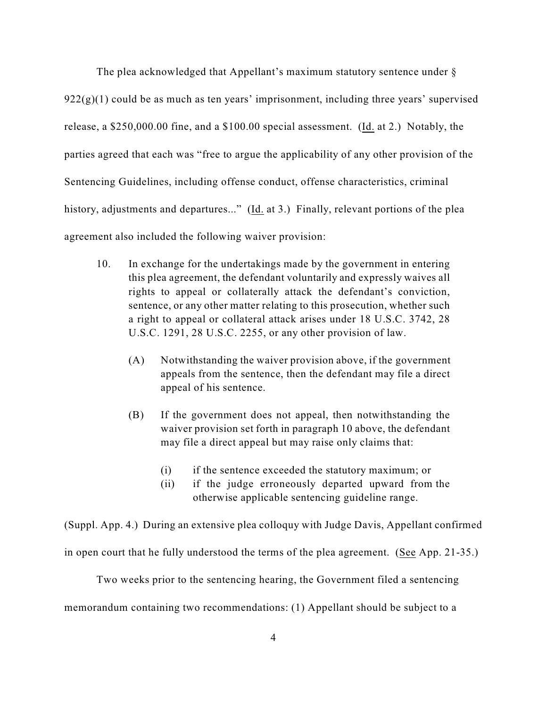The plea acknowledged that Appellant's maximum statutory sentence under §  $922(g)(1)$  could be as much as ten years' imprisonment, including three years' supervised release, a \$250,000.00 fine, and a \$100.00 special assessment. (Id. at 2.) Notably, the parties agreed that each was "free to argue the applicability of any other provision of the Sentencing Guidelines, including offense conduct, offense characteristics, criminal history, adjustments and departures..." (Id. at 3.) Finally, relevant portions of the plea agreement also included the following waiver provision:

- 10. In exchange for the undertakings made by the government in entering this plea agreement, the defendant voluntarily and expressly waives all rights to appeal or collaterally attack the defendant's conviction, sentence, or any other matter relating to this prosecution, whether such a right to appeal or collateral attack arises under 18 U.S.C. 3742, 28 U.S.C. 1291, 28 U.S.C. 2255, or any other provision of law.
	- (A) Notwithstanding the waiver provision above, if the government appeals from the sentence, then the defendant may file a direct appeal of his sentence.
	- (B) If the government does not appeal, then notwithstanding the waiver provision set forth in paragraph 10 above, the defendant may file a direct appeal but may raise only claims that:
		- (i) if the sentence exceeded the statutory maximum; or
		- (ii) if the judge erroneously departed upward from the otherwise applicable sentencing guideline range.

(Suppl. App. 4.) During an extensive plea colloquy with Judge Davis, Appellant confirmed in open court that he fully understood the terms of the plea agreement. (See App. 21-35.)

Two weeks prior to the sentencing hearing, the Government filed a sentencing memorandum containing two recommendations: (1) Appellant should be subject to a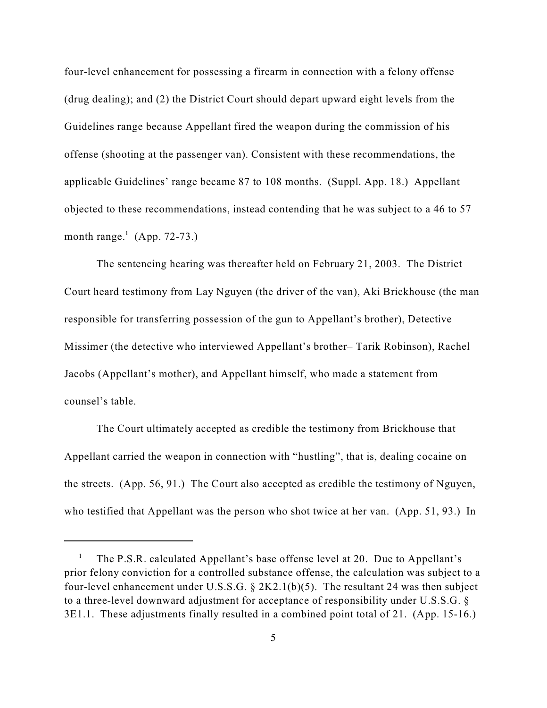four-level enhancement for possessing a firearm in connection with a felony offense (drug dealing); and (2) the District Court should depart upward eight levels from the Guidelines range because Appellant fired the weapon during the commission of his offense (shooting at the passenger van). Consistent with these recommendations, the applicable Guidelines' range became 87 to 108 months. (Suppl. App. 18.) Appellant objected to these recommendations, instead contending that he was subject to a 46 to 57 month range.<sup>1</sup> (App. 72-73.)

The sentencing hearing was thereafter held on February 21, 2003. The District Court heard testimony from Lay Nguyen (the driver of the van), Aki Brickhouse (the man responsible for transferring possession of the gun to Appellant's brother), Detective Missimer (the detective who interviewed Appellant's brother– Tarik Robinson), Rachel Jacobs (Appellant's mother), and Appellant himself, who made a statement from counsel's table.

The Court ultimately accepted as credible the testimony from Brickhouse that Appellant carried the weapon in connection with "hustling", that is, dealing cocaine on the streets. (App. 56, 91.) The Court also accepted as credible the testimony of Nguyen, who testified that Appellant was the person who shot twice at her van. (App. 51, 93.) In

The P.S.R. calculated Appellant's base offense level at 20. Due to Appellant's 1 prior felony conviction for a controlled substance offense, the calculation was subject to a four-level enhancement under U.S.S.G. § 2K2.1(b)(5). The resultant 24 was then subject to a three-level downward adjustment for acceptance of responsibility under U.S.S.G. § 3E1.1. These adjustments finally resulted in a combined point total of 21. (App. 15-16.)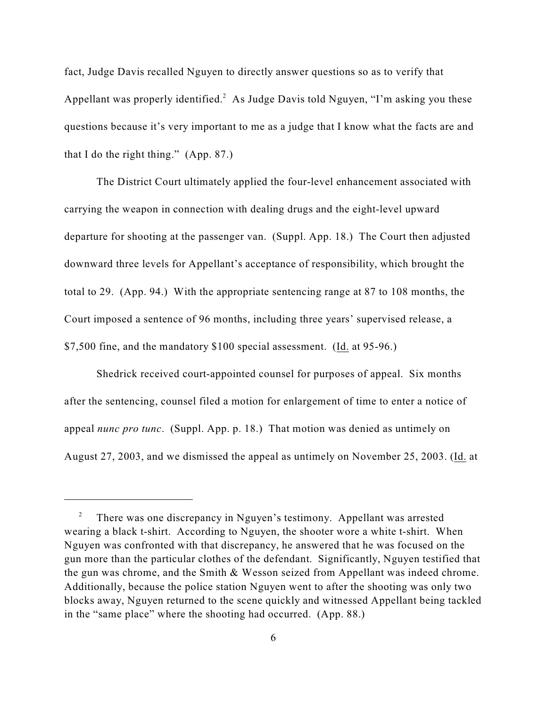fact, Judge Davis recalled Nguyen to directly answer questions so as to verify that Appellant was properly identified.<sup>2</sup> As Judge Davis told Nguyen, "I'm asking you these questions because it's very important to me as a judge that I know what the facts are and that I do the right thing." (App. 87.)

The District Court ultimately applied the four-level enhancement associated with carrying the weapon in connection with dealing drugs and the eight-level upward departure for shooting at the passenger van. (Suppl. App. 18.) The Court then adjusted downward three levels for Appellant's acceptance of responsibility, which brought the total to 29. (App. 94.) With the appropriate sentencing range at 87 to 108 months, the Court imposed a sentence of 96 months, including three years' supervised release, a \$7,500 fine, and the mandatory \$100 special assessment. (Id. at 95-96.)

Shedrick received court-appointed counsel for purposes of appeal. Six months after the sentencing, counsel filed a motion for enlargement of time to enter a notice of appeal *nunc pro tunc*. (Suppl. App. p. 18.) That motion was denied as untimely on August 27, 2003, and we dismissed the appeal as untimely on November 25, 2003. (Id. at

<sup>&</sup>lt;sup>2</sup> There was one discrepancy in Nguyen's testimony. Appellant was arrested wearing a black t-shirt. According to Nguyen, the shooter wore a white t-shirt. When Nguyen was confronted with that discrepancy, he answered that he was focused on the gun more than the particular clothes of the defendant. Significantly, Nguyen testified that the gun was chrome, and the Smith & Wesson seized from Appellant was indeed chrome. Additionally, because the police station Nguyen went to after the shooting was only two blocks away, Nguyen returned to the scene quickly and witnessed Appellant being tackled in the "same place" where the shooting had occurred. (App. 88.)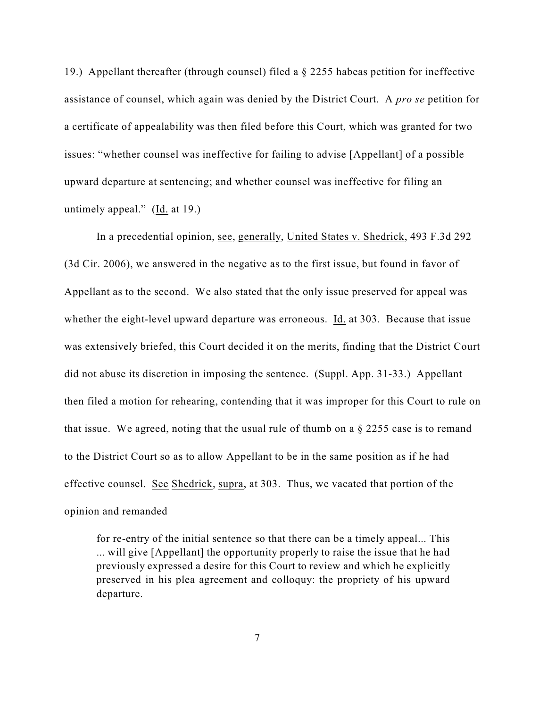19.) Appellant thereafter (through counsel) filed a § 2255 habeas petition for ineffective assistance of counsel, which again was denied by the District Court. A *pro se* petition for a certificate of appealability was then filed before this Court, which was granted for two issues: "whether counsel was ineffective for failing to advise [Appellant] of a possible upward departure at sentencing; and whether counsel was ineffective for filing an untimely appeal." (Id. at 19.)

In a precedential opinion, see, generally, United States v. Shedrick, 493 F.3d 292 (3d Cir. 2006), we answered in the negative as to the first issue, but found in favor of Appellant as to the second. We also stated that the only issue preserved for appeal was whether the eight-level upward departure was erroneous. Id. at 303. Because that issue was extensively briefed, this Court decided it on the merits, finding that the District Court did not abuse its discretion in imposing the sentence. (Suppl. App. 31-33.) Appellant then filed a motion for rehearing, contending that it was improper for this Court to rule on that issue. We agreed, noting that the usual rule of thumb on a  $\S$  2255 case is to remand to the District Court so as to allow Appellant to be in the same position as if he had effective counsel. See Shedrick, supra, at 303. Thus, we vacated that portion of the opinion and remanded

for re-entry of the initial sentence so that there can be a timely appeal... This ... will give [Appellant] the opportunity properly to raise the issue that he had previously expressed a desire for this Court to review and which he explicitly preserved in his plea agreement and colloquy: the propriety of his upward departure.

7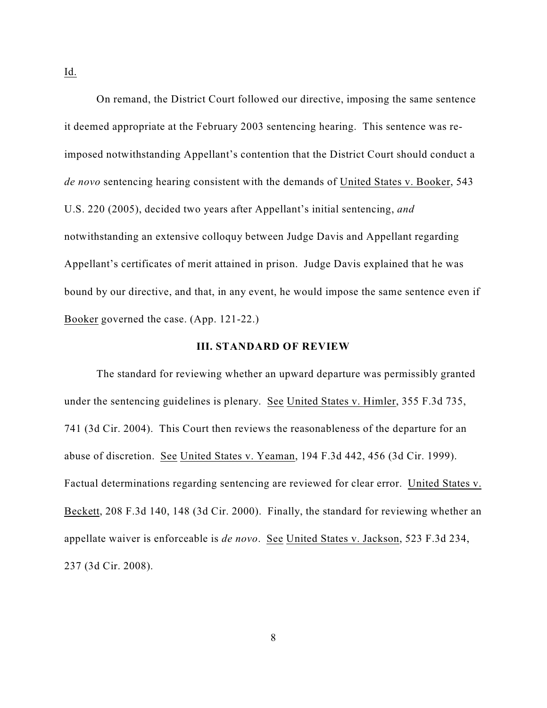On remand, the District Court followed our directive, imposing the same sentence it deemed appropriate at the February 2003 sentencing hearing. This sentence was reimposed notwithstanding Appellant's contention that the District Court should conduct a *de novo* sentencing hearing consistent with the demands of United States v. Booker, 543 U.S. 220 (2005), decided two years after Appellant's initial sentencing, *and* notwithstanding an extensive colloquy between Judge Davis and Appellant regarding Appellant's certificates of merit attained in prison. Judge Davis explained that he was bound by our directive, and that, in any event, he would impose the same sentence even if Booker governed the case. (App. 121-22.)

### **III. STANDARD OF REVIEW**

The standard for reviewing whether an upward departure was permissibly granted under the sentencing guidelines is plenary. See United States v. Himler, 355 F.3d 735, 741 (3d Cir. 2004). This Court then reviews the reasonableness of the departure for an abuse of discretion. See United States v. Yeaman, 194 F.3d 442, 456 (3d Cir. 1999). Factual determinations regarding sentencing are reviewed for clear error. United States v. Beckett, 208 F.3d 140, 148 (3d Cir. 2000). Finally, the standard for reviewing whether an appellate waiver is enforceable is *de novo*. See United States v. Jackson, 523 F.3d 234, 237 (3d Cir. 2008).

Id.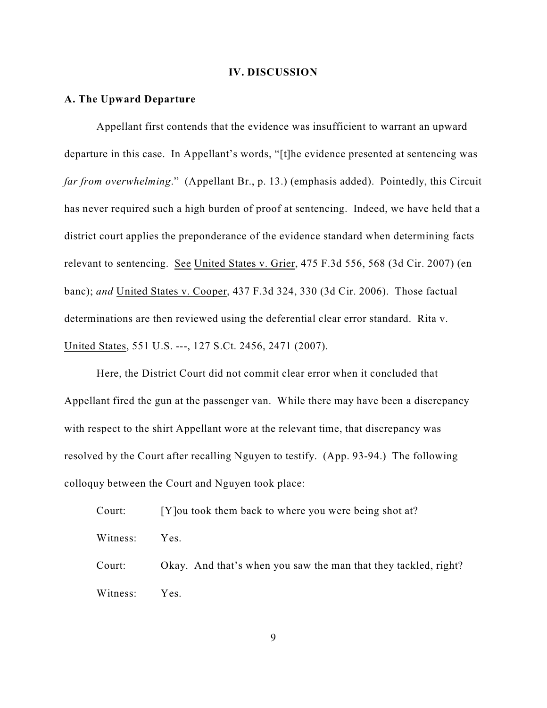#### **IV. DISCUSSION**

## **A. The Upward Departure**

Appellant first contends that the evidence was insufficient to warrant an upward departure in this case. In Appellant's words, "[t]he evidence presented at sentencing was *far from overwhelming*." (Appellant Br., p. 13.) (emphasis added). Pointedly, this Circuit has never required such a high burden of proof at sentencing. Indeed, we have held that a district court applies the preponderance of the evidence standard when determining facts relevant to sentencing. See United States v. Grier, 475 F.3d 556, 568 (3d Cir. 2007) (en banc); *and* United States v. Cooper, 437 F.3d 324, 330 (3d Cir. 2006). Those factual determinations are then reviewed using the deferential clear error standard. Rita v. United States, 551 U.S. ---, 127 S.Ct. 2456, 2471 (2007).

Here, the District Court did not commit clear error when it concluded that Appellant fired the gun at the passenger van. While there may have been a discrepancy with respect to the shirt Appellant wore at the relevant time, that discrepancy was resolved by the Court after recalling Nguyen to testify. (App. 93-94.) The following colloquy between the Court and Nguyen took place:

Court: [Y] ou took them back to where you were being shot at? Witness: Yes. Court: Okay. And that's when you saw the man that they tackled, right? Witness: Yes.

9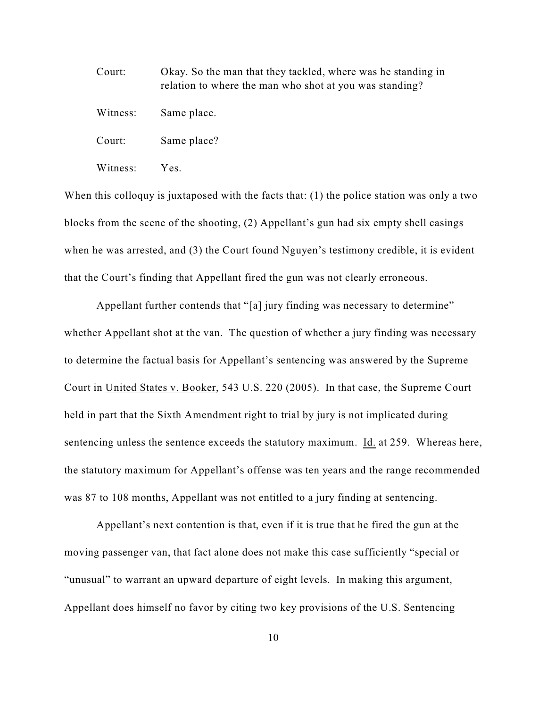Court: Okay. So the man that they tackled, where was he standing in relation to where the man who shot at you was standing? Witness: Same place. Court: Same place? Witness: Yes.

When this colloquy is juxtaposed with the facts that: (1) the police station was only a two blocks from the scene of the shooting, (2) Appellant's gun had six empty shell casings when he was arrested, and (3) the Court found Nguyen's testimony credible, it is evident that the Court's finding that Appellant fired the gun was not clearly erroneous.

Appellant further contends that "[a] jury finding was necessary to determine" whether Appellant shot at the van. The question of whether a jury finding was necessary to determine the factual basis for Appellant's sentencing was answered by the Supreme Court in United States v. Booker, 543 U.S. 220 (2005). In that case, the Supreme Court held in part that the Sixth Amendment right to trial by jury is not implicated during sentencing unless the sentence exceeds the statutory maximum. Id. at 259. Whereas here, the statutory maximum for Appellant's offense was ten years and the range recommended was 87 to 108 months, Appellant was not entitled to a jury finding at sentencing.

Appellant's next contention is that, even if it is true that he fired the gun at the moving passenger van, that fact alone does not make this case sufficiently "special or "unusual" to warrant an upward departure of eight levels. In making this argument, Appellant does himself no favor by citing two key provisions of the U.S. Sentencing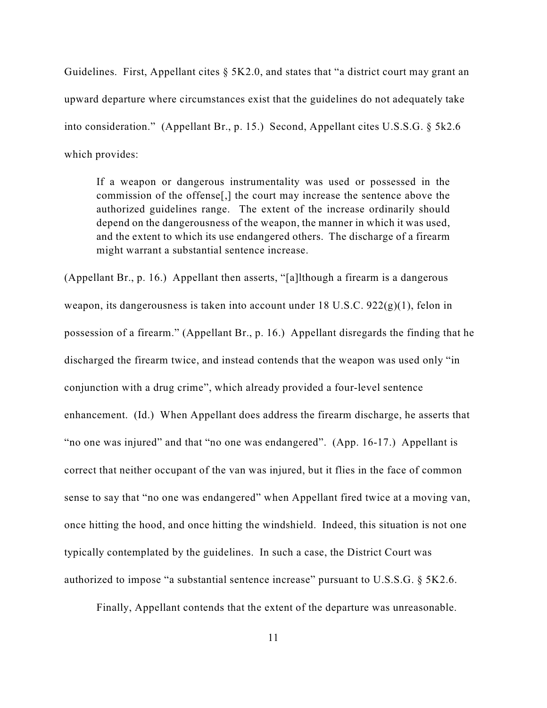Guidelines. First, Appellant cites § 5K2.0, and states that "a district court may grant an upward departure where circumstances exist that the guidelines do not adequately take into consideration." (Appellant Br., p. 15.) Second, Appellant cites U.S.S.G. § 5k2.6 which provides:

If a weapon or dangerous instrumentality was used or possessed in the commission of the offense[,] the court may increase the sentence above the authorized guidelines range. The extent of the increase ordinarily should depend on the dangerousness of the weapon, the manner in which it was used, and the extent to which its use endangered others. The discharge of a firearm might warrant a substantial sentence increase.

(Appellant Br., p. 16.) Appellant then asserts, "[a]lthough a firearm is a dangerous weapon, its dangerousness is taken into account under 18 U.S.C. 922(g)(1), felon in possession of a firearm." (Appellant Br., p. 16.) Appellant disregards the finding that he discharged the firearm twice, and instead contends that the weapon was used only "in conjunction with a drug crime", which already provided a four-level sentence enhancement. (Id.) When Appellant does address the firearm discharge, he asserts that "no one was injured" and that "no one was endangered". (App. 16-17.) Appellant is correct that neither occupant of the van was injured, but it flies in the face of common sense to say that "no one was endangered" when Appellant fired twice at a moving van, once hitting the hood, and once hitting the windshield. Indeed, this situation is not one typically contemplated by the guidelines. In such a case, the District Court was authorized to impose "a substantial sentence increase" pursuant to U.S.S.G. § 5K2.6.

Finally, Appellant contends that the extent of the departure was unreasonable.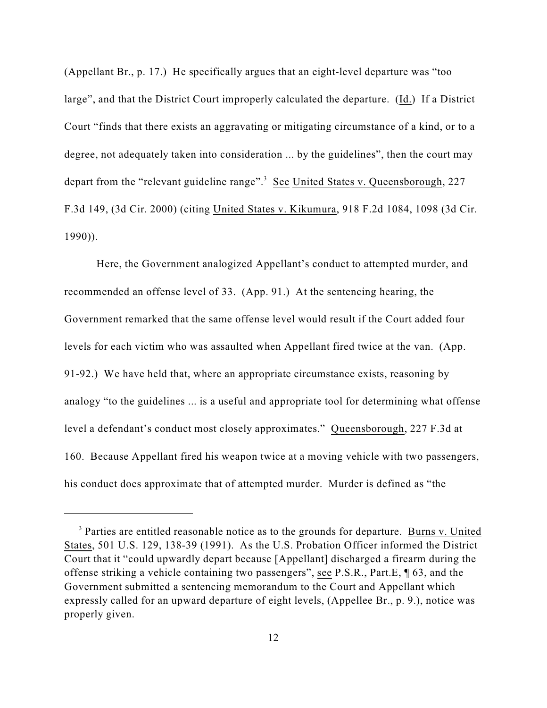(Appellant Br., p. 17.) He specifically argues that an eight-level departure was "too large", and that the District Court improperly calculated the departure. (Id.) If a District Court "finds that there exists an aggravating or mitigating circumstance of a kind, or to a degree, not adequately taken into consideration ... by the guidelines", then the court may depart from the "relevant guideline range".<sup>3</sup> See United States v. Queensborough, 227 F.3d 149, (3d Cir. 2000) (citing United States v. Kikumura, 918 F.2d 1084, 1098 (3d Cir. 1990)).

Here, the Government analogized Appellant's conduct to attempted murder, and recommended an offense level of 33. (App. 91.) At the sentencing hearing, the Government remarked that the same offense level would result if the Court added four levels for each victim who was assaulted when Appellant fired twice at the van. (App. 91-92.) We have held that, where an appropriate circumstance exists, reasoning by analogy "to the guidelines ... is a useful and appropriate tool for determining what offense level a defendant's conduct most closely approximates." Queensborough, 227 F.3d at 160. Because Appellant fired his weapon twice at a moving vehicle with two passengers, his conduct does approximate that of attempted murder. Murder is defined as "the

<sup>&</sup>lt;sup>3</sup> Parties are entitled reasonable notice as to the grounds for departure. Burns v. United States, 501 U.S. 129, 138-39 (1991). As the U.S. Probation Officer informed the District Court that it "could upwardly depart because [Appellant] discharged a firearm during the offense striking a vehicle containing two passengers", see P.S.R., Part.E, ¶ 63, and the Government submitted a sentencing memorandum to the Court and Appellant which expressly called for an upward departure of eight levels, (Appellee Br., p. 9.), notice was properly given.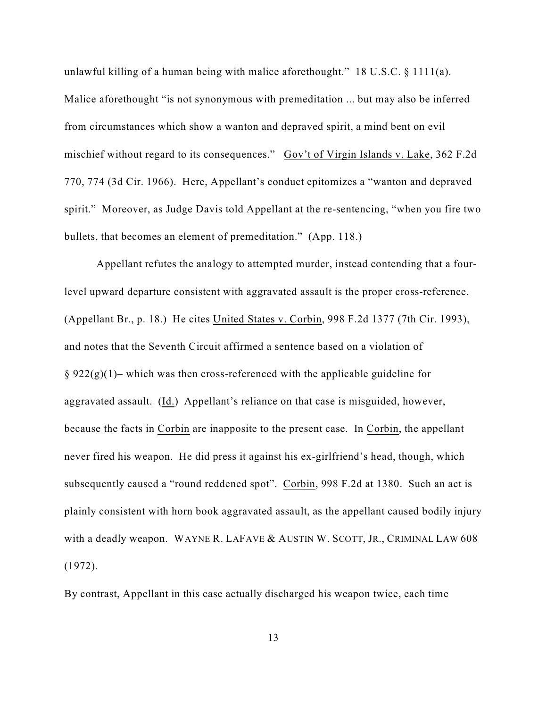unlawful killing of a human being with malice aforethought." 18 U.S.C. § 1111(a). Malice aforethought "is not synonymous with premeditation ... but may also be inferred from circumstances which show a wanton and depraved spirit, a mind bent on evil mischief without regard to its consequences." Gov't of Virgin Islands v. Lake, 362 F.2d 770, 774 (3d Cir. 1966). Here, Appellant's conduct epitomizes a "wanton and depraved spirit." Moreover, as Judge Davis told Appellant at the re-sentencing, "when you fire two bullets, that becomes an element of premeditation." (App. 118.)

Appellant refutes the analogy to attempted murder, instead contending that a fourlevel upward departure consistent with aggravated assault is the proper cross-reference. (Appellant Br., p. 18.) He cites United States v. Corbin, 998 F.2d 1377 (7th Cir. 1993), and notes that the Seventh Circuit affirmed a sentence based on a violation of  $\S 922(g)(1)$  – which was then cross-referenced with the applicable guideline for aggravated assault. (Id.) Appellant's reliance on that case is misguided, however, because the facts in Corbin are inapposite to the present case. In Corbin, the appellant never fired his weapon. He did press it against his ex-girlfriend's head, though, which subsequently caused a "round reddened spot". Corbin, 998 F.2d at 1380. Such an act is plainly consistent with horn book aggravated assault, as the appellant caused bodily injury with a deadly weapon. WAYNE R. LAFAVE & AUSTIN W. SCOTT, JR., CRIMINAL LAW 608 (1972).

By contrast, Appellant in this case actually discharged his weapon twice, each time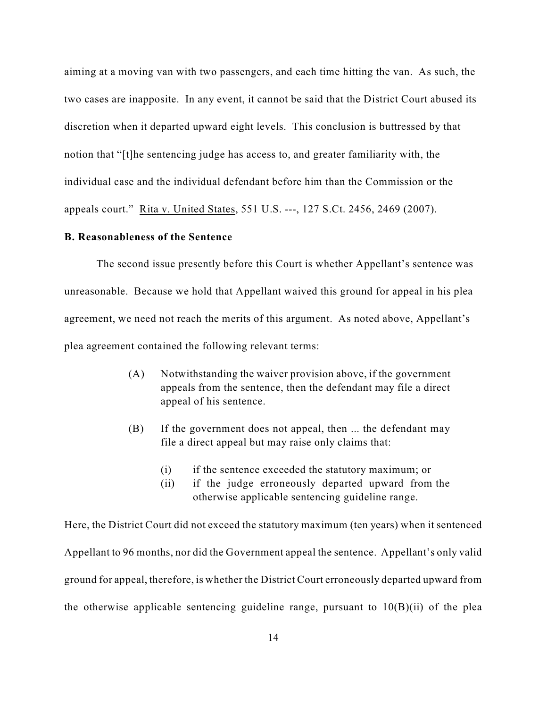aiming at a moving van with two passengers, and each time hitting the van. As such, the two cases are inapposite. In any event, it cannot be said that the District Court abused its discretion when it departed upward eight levels. This conclusion is buttressed by that notion that "[t]he sentencing judge has access to, and greater familiarity with, the individual case and the individual defendant before him than the Commission or the appeals court." Rita v. United States, 551 U.S. ---, 127 S.Ct. 2456, 2469 (2007).

## **B. Reasonableness of the Sentence**

The second issue presently before this Court is whether Appellant's sentence was unreasonable. Because we hold that Appellant waived this ground for appeal in his plea agreement, we need not reach the merits of this argument. As noted above, Appellant's plea agreement contained the following relevant terms:

- (A) Notwithstanding the waiver provision above, if the government appeals from the sentence, then the defendant may file a direct appeal of his sentence.
- (B) If the government does not appeal, then ... the defendant may file a direct appeal but may raise only claims that:
	- (i) if the sentence exceeded the statutory maximum; or
	- (ii) if the judge erroneously departed upward from the otherwise applicable sentencing guideline range.

Here, the District Court did not exceed the statutory maximum (ten years) when it sentenced Appellant to 96 months, nor did the Government appeal the sentence. Appellant's only valid ground for appeal, therefore, is whether the District Court erroneously departed upward from the otherwise applicable sentencing guideline range, pursuant to  $10(B)(ii)$  of the plea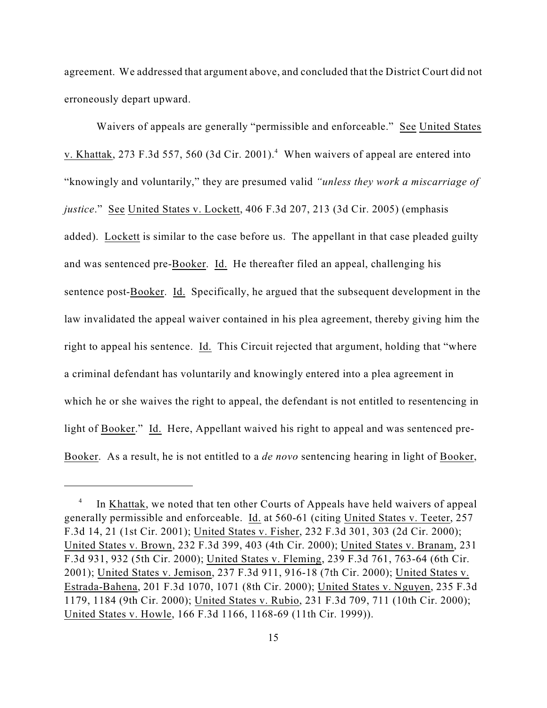agreement. We addressed that argument above, and concluded that the District Court did not erroneously depart upward.

Waivers of appeals are generally "permissible and enforceable." See United States v. Khattak, 273 F.3d 557, 560 (3d Cir. 2001).<sup>4</sup> When waivers of appeal are entered into "knowingly and voluntarily," they are presumed valid *"unless they work a miscarriage of justice*." See United States v. Lockett, 406 F.3d 207, 213 (3d Cir. 2005) (emphasis added). Lockett is similar to the case before us. The appellant in that case pleaded guilty and was sentenced pre-Booker. Id. He thereafter filed an appeal, challenging his sentence post-Booker. Id. Specifically, he argued that the subsequent development in the law invalidated the appeal waiver contained in his plea agreement, thereby giving him the right to appeal his sentence. Id. This Circuit rejected that argument, holding that "where a criminal defendant has voluntarily and knowingly entered into a plea agreement in which he or she waives the right to appeal, the defendant is not entitled to resentencing in light of Booker." Id. Here, Appellant waived his right to appeal and was sentenced pre-Booker. As a result, he is not entitled to a *de novo* sentencing hearing in light of Booker,

<sup>&</sup>lt;sup>4</sup> In Khattak, we noted that ten other Courts of Appeals have held waivers of appeal generally permissible and enforceable. Id. at 560-61 (citing United States v. Teeter, 257 F.3d 14, 21 (1st Cir. 2001); United States v. Fisher, 232 F.3d 301, 303 (2d Cir. 2000); United States v. Brown, 232 F.3d 399, 403 (4th Cir. 2000); United States v. Branam, 231 F.3d 931, 932 (5th Cir. 2000); United States v. Fleming, 239 F.3d 761, 763-64 (6th Cir. 2001); United States v. Jemison, 237 F.3d 911, 916-18 (7th Cir. 2000); United States v. Estrada-Bahena, 201 F.3d 1070, 1071 (8th Cir. 2000); United States v. Nguyen, 235 F.3d 1179, 1184 (9th Cir. 2000); United States v. Rubio, 231 F.3d 709, 711 (10th Cir. 2000); United States v. Howle, 166 F.3d 1166, 1168-69 (11th Cir. 1999)).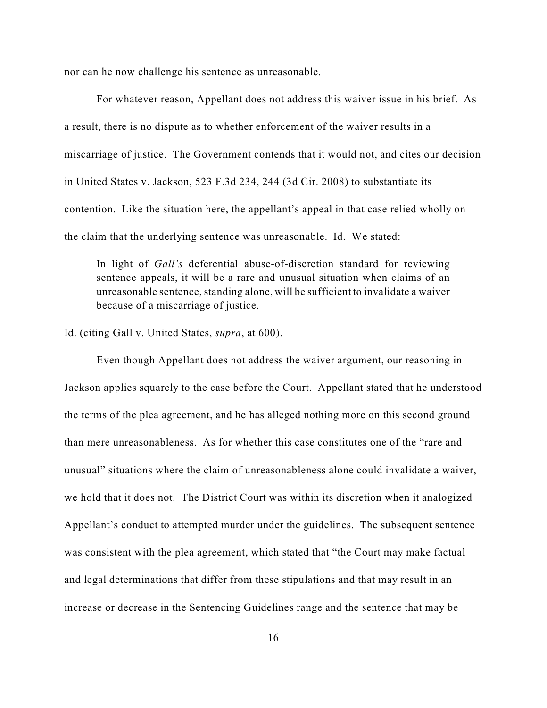nor can he now challenge his sentence as unreasonable.

For whatever reason, Appellant does not address this waiver issue in his brief. As a result, there is no dispute as to whether enforcement of the waiver results in a miscarriage of justice. The Government contends that it would not, and cites our decision in United States v. Jackson, 523 F.3d 234, 244 (3d Cir. 2008) to substantiate its contention. Like the situation here, the appellant's appeal in that case relied wholly on the claim that the underlying sentence was unreasonable. Id. We stated:

In light of *Gall's* deferential abuse-of-discretion standard for reviewing sentence appeals, it will be a rare and unusual situation when claims of an unreasonable sentence, standing alone, will be sufficient to invalidate a waiver because of a miscarriage of justice.

#### Id. (citing Gall v. United States, *supra*, at 600).

Even though Appellant does not address the waiver argument, our reasoning in Jackson applies squarely to the case before the Court. Appellant stated that he understood the terms of the plea agreement, and he has alleged nothing more on this second ground than mere unreasonableness. As for whether this case constitutes one of the "rare and unusual" situations where the claim of unreasonableness alone could invalidate a waiver, we hold that it does not. The District Court was within its discretion when it analogized Appellant's conduct to attempted murder under the guidelines. The subsequent sentence was consistent with the plea agreement, which stated that "the Court may make factual and legal determinations that differ from these stipulations and that may result in an increase or decrease in the Sentencing Guidelines range and the sentence that may be